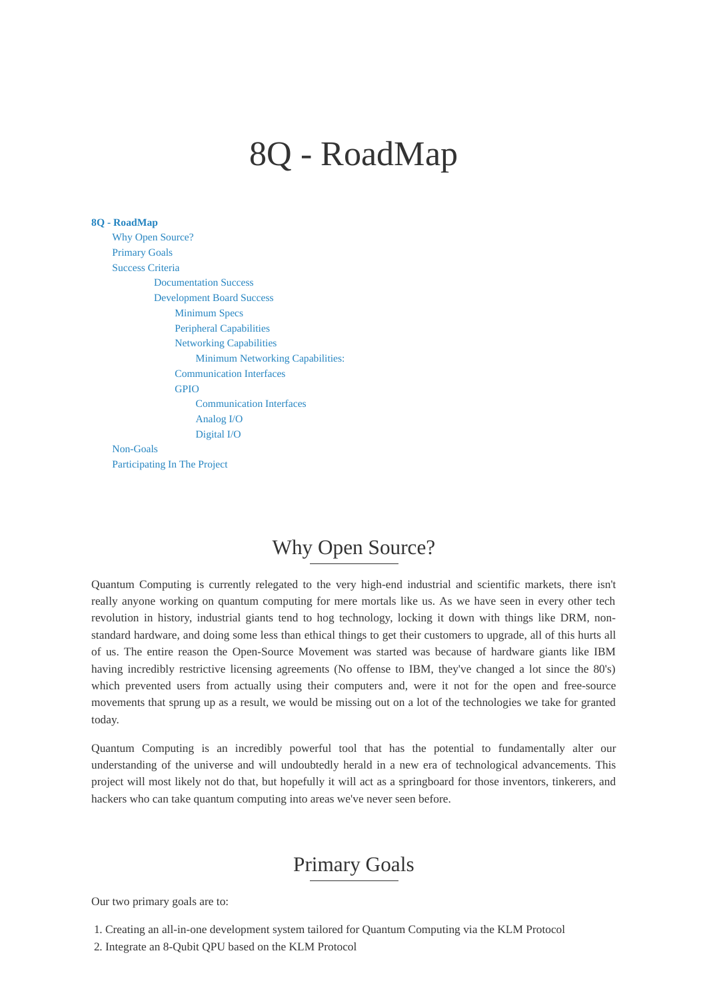# <span id="page-0-0"></span>8Q - RoadMap

#### **8Q - [RoadMap](#page-0-0)**

Why Open [Source?](#page-0-1) [Primary](#page-0-2) Goals [Success](#page-1-0) Criteria [Documentation](#page-1-1) Success [Development](#page-1-2) Board Success [Minimum](#page-1-3) Specs Peripheral [Capabilities](#page-1-4) Networking [Capabilities](#page-1-5) Minimum Networking [Capabilities:](#page-2-0) [Communication](#page-2-1) Interfaces [GPIO](#page-2-2) [Communication](#page-2-3) Interfaces [Analog](#page-2-4) I/O [Digital](#page-2-5) I/O

[Non-Goals](#page-2-6) [Participating](#page-3-0) In The Project

# <span id="page-0-1"></span>Why Open Source?

Quantum Computing is currently relegated to the very high-end industrial and scientific markets, there isn't really anyone working on quantum computing for mere mortals like us. As we have seen in every other tech revolution in history, industrial giants tend to hog technology, locking it down with things like DRM, nonstandard hardware, and doing some less than ethical things to get their customers to upgrade, all of this hurts all of us. The entire reason the Open-Source Movement was started was because of hardware giants like IBM having incredibly restrictive licensing agreements (No offense to IBM, they've changed a lot since the 80's) which prevented users from actually using their computers and, were it not for the open and free-source movements that sprung up as a result, we would be missing out on a lot of the technologies we take for granted today.

Quantum Computing is an incredibly powerful tool that has the potential to fundamentally alter our understanding of the universe and will undoubtedly herald in a new era of technological advancements. This project will most likely not do that, but hopefully it will act as a springboard for those inventors, tinkerers, and hackers who can take quantum computing into areas we've never seen before.

### <span id="page-0-2"></span>Primary Goals

Our two primary goals are to:

- 1. Creating an all-in-one development system tailored for Quantum Computing via the KLM Protocol
- 2. Integrate an 8-Qubit QPU based on the KLM Protocol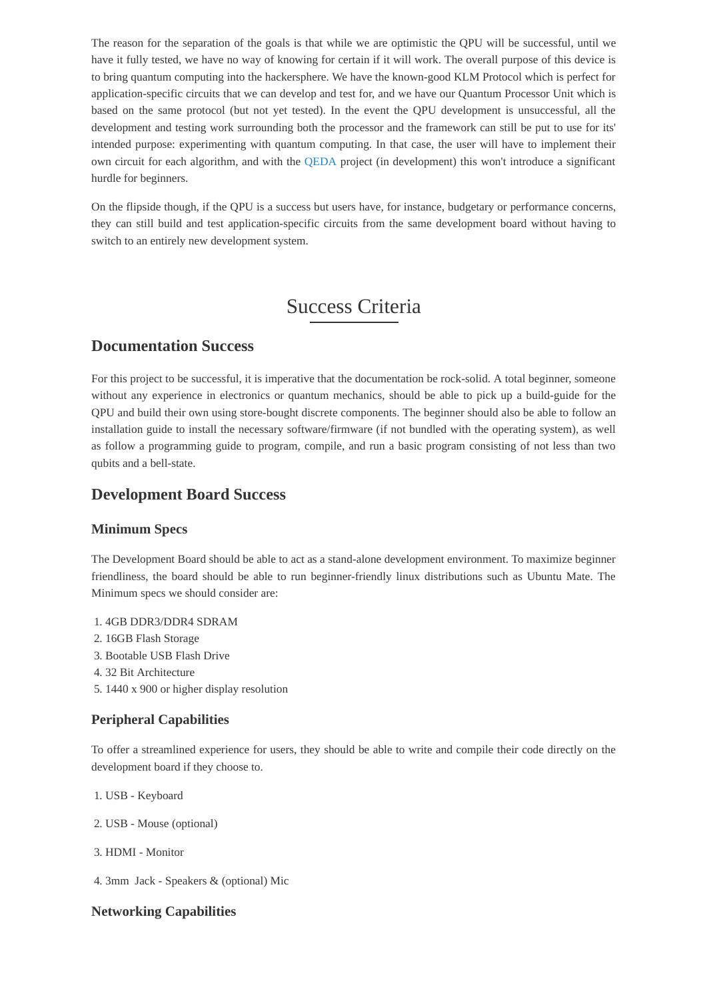The reason for the separation of the goals is that while we are optimistic the QPU will be successful, until we have it fully tested, we have no way of knowing for certain if it will work. The overall purpose of this device is to bring quantum computing into the hackersphere. We have the known-good KLM Protocol which is perfect for application-specific circuits that we can develop and test for, and we have our Quantum Processor Unit which is based on the same protocol (but not yet tested). In the event the QPU development is unsuccessful, all the development and testing work surrounding both the processor and the framework can still be put to use for its' intended purpose: experimenting with quantum computing. In that case, the user will have to implement their own circuit for each algorithm, and with the [QEDA](http://github.com/Spooky-Manufacturing/QEDA) project (in development) this won't introduce a significant hurdle for beginners.

On the flipside though, if the QPU is a success but users have, for instance, budgetary or performance concerns, they can still build and test application-specific circuits from the same development board without having to switch to an entirely new development system.

## <span id="page-1-3"></span><span id="page-1-2"></span><span id="page-1-1"></span><span id="page-1-0"></span>Success Criteria

#### **Documentation Success**

For this project to be successful, it is imperative that the documentation be rock-solid. A total beginner, someone without any experience in electronics or quantum mechanics, should be able to pick up a build-guide for the QPU and build their own using store-bought discrete components. The beginner should also be able to follow an installation guide to install the necessary software/firmware (if not bundled with the operating system), as well as follow a programming guide to program, compile, and run a basic program consisting of not less than two qubits and a bell-state.

#### **Development Board Success**

#### **Minimum Specs**

The Development Board should be able to act as a stand-alone development environment. To maximize beginner friendliness, the board should be able to run beginner-friendly linux distributions such as Ubuntu Mate. The Minimum specs we should consider are:

- 1. 4GB DDR3/DDR4 SDRAM
- 2. 16GB Flash Storage
- 3. Bootable USB Flash Drive
- 4. 32 Bit Architecture
- <span id="page-1-4"></span>5. 1440 x 900 or higher display resolution

#### **Peripheral Capabilities**

To offer a streamlined experience for users, they should be able to write and compile their code directly on the development board if they choose to.

- 1. USB Keyboard
- 2. USB Mouse (optional)
- 3. HDMI Monitor
- <span id="page-1-5"></span>4. 3mm Jack - Speakers & (optional) Mic

#### **Networking Capabilities**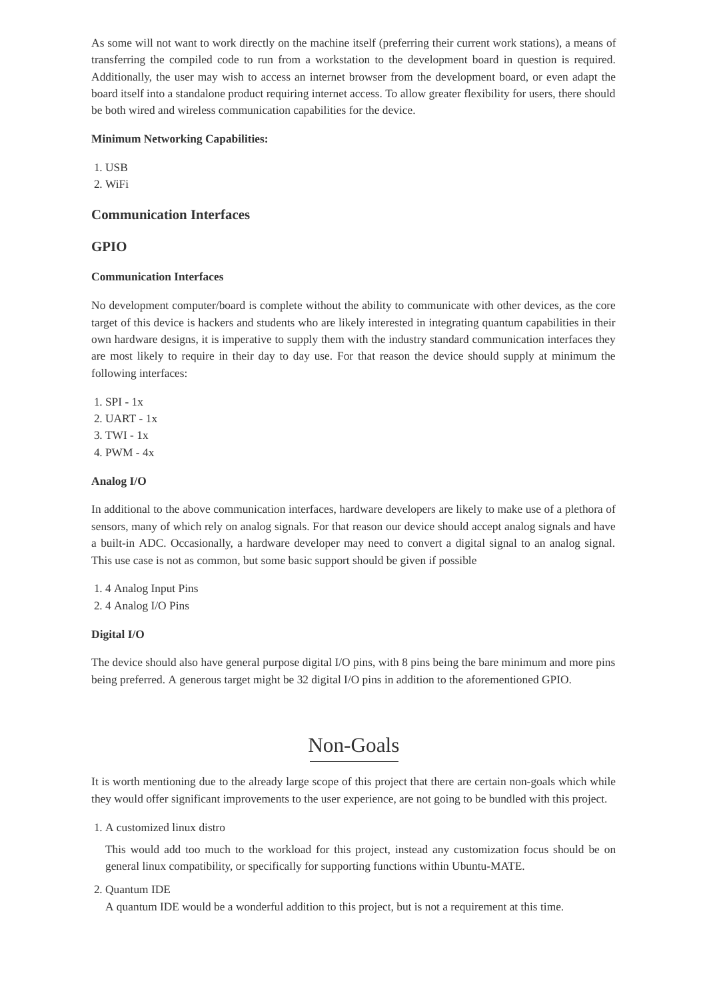As some will not want to work directly on the machine itself (preferring their current work stations), a means of transferring the compiled code to run from a workstation to the development board in question is required. Additionally, the user may wish to access an internet browser from the development board, or even adapt the board itself into a standalone product requiring internet access. To allow greater flexibility for users, there should be both wired and wireless communication capabilities for the device.

#### <span id="page-2-0"></span>**Minimum Networking Capabilities:**

1. USB

2. WiFi

#### <span id="page-2-1"></span>**Communication Interfaces**

#### <span id="page-2-2"></span>**GPIO**

#### <span id="page-2-3"></span>**Communication Interfaces**

No development computer/board is complete without the ability to communicate with other devices, as the core target of this device is hackers and students who are likely interested in integrating quantum capabilities in their own hardware designs, it is imperative to supply them with the industry standard communication interfaces they are most likely to require in their day to day use. For that reason the device should supply at minimum the following interfaces:

1. SPI - 1x 2. UART - 1x 3. TWI - 1x 4. PWM - 4x

#### **Analog I/O**

In additional to the above communication interfaces, hardware developers are likely to make use of a plethora of sensors, many of which rely on analog signals. For that reason our device should accept analog signals and have a built-in ADC. Occasionally, a hardware developer may need to convert a digital signal to an analog signal. This use case is not as common, but some basic support should be given if possible

1. 4 Analog Input Pins 2. 4 Analog I/O Pins

#### **Digital I/O**

The device should also have general purpose digital I/O pins, with 8 pins being the bare minimum and more pins being preferred. A generous target might be 32 digital I/O pins in addition to the aforementioned GPIO.

### <span id="page-2-6"></span><span id="page-2-5"></span><span id="page-2-4"></span>Non-Goals

It is worth mentioning due to the already large scope of this project that there are certain non-goals which while they would offer significant improvements to the user experience, are not going to be bundled with this project.

1. A customized linux distro

This would add too much to the workload for this project, instead any customization focus should be on general linux compatibility, or specifically for supporting functions within Ubuntu-MATE.

#### 2. Quantum IDE

A quantum IDE would be a wonderful addition to this project, but is not a requirement at this time.